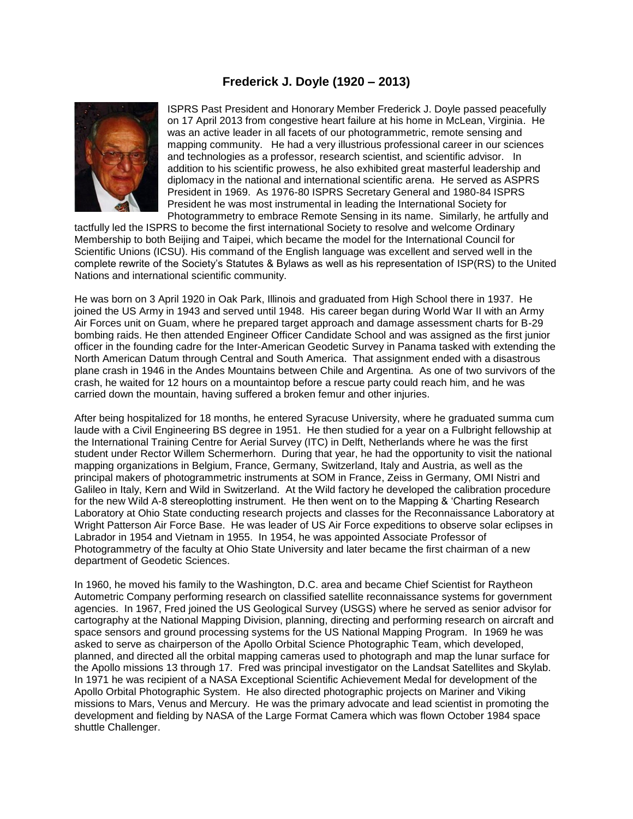## **Frederick J. Doyle (1920 – 2013)**



ISPRS Past President and Honorary Member Frederick J. Doyle passed peacefully on 17 April 2013 from congestive heart failure at his home in McLean, Virginia. He was an active leader in all facets of our photogrammetric, remote sensing and mapping community. He had a very illustrious professional career in our sciences and technologies as a professor, research scientist, and scientific advisor. In addition to his scientific prowess, he also exhibited great masterful leadership and diplomacy in the national and international scientific arena. He served as ASPRS President in 1969. As 1976-80 ISPRS Secretary General and 1980-84 ISPRS President he was most instrumental in leading the International Society for Photogrammetry to embrace Remote Sensing in its name. Similarly, he artfully and

tactfully led the ISPRS to become the first international Society to resolve and welcome Ordinary Membership to both Beijing and Taipei, which became the model for the International Council for Scientific Unions (ICSU). His command of the English language was excellent and served well in the complete rewrite of the Society's Statutes & Bylaws as well as his representation of ISP(RS) to the United Nations and international scientific community.

He was born on 3 April 1920 in Oak Park, Illinois and graduated from High School there in 1937. He joined the US Army in 1943 and served until 1948. His career began during World War II with an Army Air Forces unit on Guam, where he prepared target approach and damage assessment charts for B-29 bombing raids. He then attended Engineer Officer Candidate School and was assigned as the first junior officer in the founding cadre for the Inter-American Geodetic Survey in Panama tasked with extending the North American Datum through Central and South America. That assignment ended with a disastrous plane crash in 1946 in the Andes Mountains between Chile and Argentina. As one of two survivors of the crash, he waited for 12 hours on a mountaintop before a rescue party could reach him, and he was carried down the mountain, having suffered a broken femur and other injuries.

After being hospitalized for 18 months, he entered Syracuse University, where he graduated summa cum laude with a Civil Engineering BS degree in 1951. He then studied for a year on a Fulbright fellowship at the International Training Centre for Aerial Survey (ITC) in Delft, Netherlands where he was the first student under Rector Willem Schermerhorn. During that year, he had the opportunity to visit the national mapping organizations in Belgium, France, Germany, Switzerland, Italy and Austria, as well as the principal makers of photogrammetric instruments at SOM in France, Zeiss in Germany, OMI Nistri and Galileo in Italy, Kern and Wild in Switzerland. At the Wild factory he developed the calibration procedure for the new Wild A-8 stereoplotting instrument. He then went on to the Mapping & 'Charting Research Laboratory at Ohio State conducting research projects and classes for the Reconnaissance Laboratory at Wright Patterson Air Force Base. He was leader of US Air Force expeditions to observe solar eclipses in Labrador in 1954 and Vietnam in 1955. In 1954, he was appointed Associate Professor of Photogrammetry of the faculty at Ohio State University and later became the first chairman of a new department of Geodetic Sciences.

In 1960, he moved his family to the Washington, D.C. area and became Chief Scientist for Raytheon Autometric Company performing research on classified satellite reconnaissance systems for government agencies. In 1967, Fred joined the US Geological Survey (USGS) where he served as senior advisor for cartography at the National Mapping Division, planning, directing and performing research on aircraft and space sensors and ground processing systems for the US National Mapping Program. In 1969 he was asked to serve as chairperson of the Apollo Orbital Science Photographic Team, which developed, planned, and directed all the orbital mapping cameras used to photograph and map the lunar surface for the Apollo missions 13 through 17. Fred was principal investigator on the Landsat Satellites and Skylab. In 1971 he was recipient of a NASA Exceptional Scientific Achievement Medal for development of the Apollo Orbital Photographic System. He also directed photographic projects on Mariner and Viking missions to Mars, Venus and Mercury. He was the primary advocate and lead scientist in promoting the development and fielding by NASA of the Large Format Camera which was flown October 1984 space shuttle Challenger.